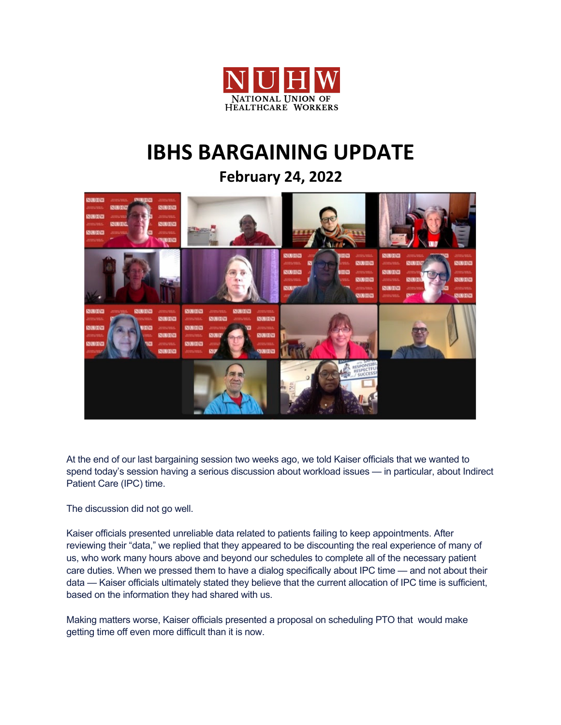

## **IBHS BARGAINING UPDATE**

**February 24, 2022**



At the end of our last bargaining session two weeks ago, we told Kaiser officials that we wanted to spend today's session having a serious discussion about workload issues — in particular, about Indirect Patient Care (IPC) time.

The discussion did not go well.

Kaiser officials presented unreliable data related to patients failing to keep appointments. After reviewing their "data," we replied that they appeared to be discounting the real experience of many of us, who work many hours above and beyond our schedules to complete all of the necessary patient care duties. When we pressed them to have a dialog specifically about IPC time — and not about their data — Kaiser officials ultimately stated they believe that the current allocation of IPC time is sufficient, based on the information they had shared with us.

Making matters worse, Kaiser officials presented a proposal on scheduling PTO that would make getting time off even more difficult than it is now.